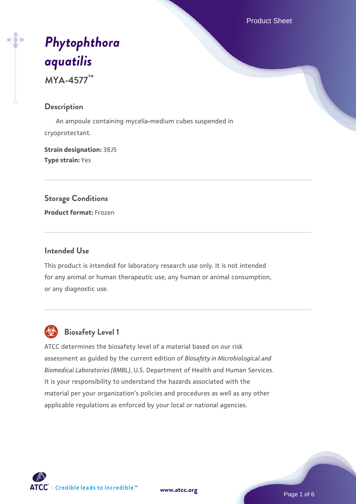Product Sheet

# *[Phytophthora](https://www.atcc.org/products/mya-4577) [aquatilis](https://www.atcc.org/products/mya-4577)*

**MYA-4577™**

#### **Description**

 An ampoule containing mycelia-medium cubes suspended in cryoprotectant.

**Strain designation:** 38J5 **Type strain:** Yes

# **Storage Conditions**

**Product format:** Frozen

### **Intended Use**

This product is intended for laboratory research use only. It is not intended for any animal or human therapeutic use, any human or animal consumption, or any diagnostic use.



# **Biosafety Level 1**

ATCC determines the biosafety level of a material based on our risk assessment as guided by the current edition of *Biosafety in Microbiological and Biomedical Laboratories (BMBL)*, U.S. Department of Health and Human Services. It is your responsibility to understand the hazards associated with the material per your organization's policies and procedures as well as any other applicable regulations as enforced by your local or national agencies.

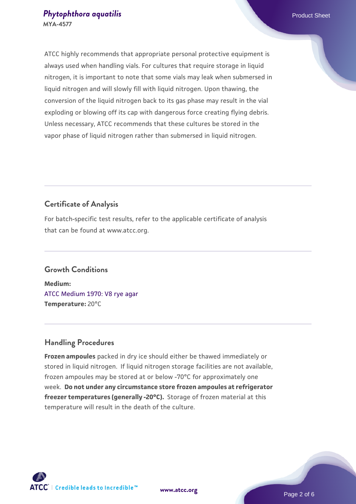#### **[Phytophthora aquatilis](https://www.atcc.org/products/mya-4577) Phytophthora aquatilis Phytophthora aquatilis MYA-4577**

ATCC highly recommends that appropriate personal protective equipment is always used when handling vials. For cultures that require storage in liquid nitrogen, it is important to note that some vials may leak when submersed in liquid nitrogen and will slowly fill with liquid nitrogen. Upon thawing, the conversion of the liquid nitrogen back to its gas phase may result in the vial exploding or blowing off its cap with dangerous force creating flying debris. Unless necessary, ATCC recommends that these cultures be stored in the vapor phase of liquid nitrogen rather than submersed in liquid nitrogen.

# **Certificate of Analysis**

For batch-specific test results, refer to the applicable certificate of analysis that can be found at www.atcc.org.

# **Growth Conditions**

**Medium:**  [ATCC Medium 1970: V8 rye agar](https://www.atcc.org/-/media/product-assets/documents/microbial-media-formulations/1/9/7/0/atcc-medium-1970.pdf?rev=15f514f07c9c40e39727ea5d13675bad) **Temperature:** 20°C

# **Handling Procedures**

**Frozen ampoules** packed in dry ice should either be thawed immediately or stored in liquid nitrogen. If liquid nitrogen storage facilities are not available, frozen ampoules may be stored at or below -70°C for approximately one week. **Do not under any circumstance store frozen ampoules at refrigerator freezer temperatures (generally -20°C).** Storage of frozen material at this temperature will result in the death of the culture.



**[www.atcc.org](http://www.atcc.org)**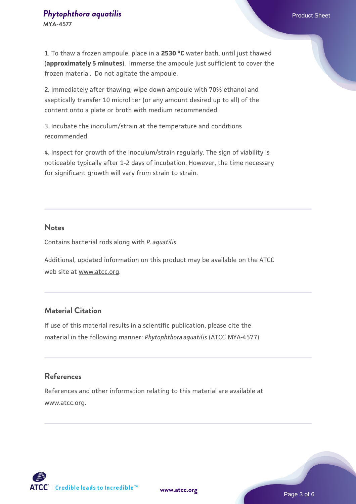# **[Phytophthora aquatilis](https://www.atcc.org/products/mya-4577) Phytophthora aquatilis Phytophthora aquatilis**

**MYA-4577**

1. To thaw a frozen ampoule, place in a **2530 °C** water bath, until just thawed (**approximately 5 minutes**). Immerse the ampoule just sufficient to cover the frozen material. Do not agitate the ampoule.

2. Immediately after thawing, wipe down ampoule with 70% ethanol and aseptically transfer 10 microliter (or any amount desired up to all) of the content onto a plate or broth with medium recommended.

3. Incubate the inoculum/strain at the temperature and conditions recommended.

4. Inspect for growth of the inoculum/strain regularly. The sign of viability is noticeable typically after 1-2 days of incubation. However, the time necessary for significant growth will vary from strain to strain.

#### **Notes**

Contains bacterial rods along with *P. aquatilis*.

Additional, updated information on this product may be available on the ATCC web site at www.atcc.org.

# **Material Citation**

If use of this material results in a scientific publication, please cite the material in the following manner: *Phytophthora aquatilis* (ATCC MYA-4577)

# **References**

References and other information relating to this material are available at www.atcc.org.

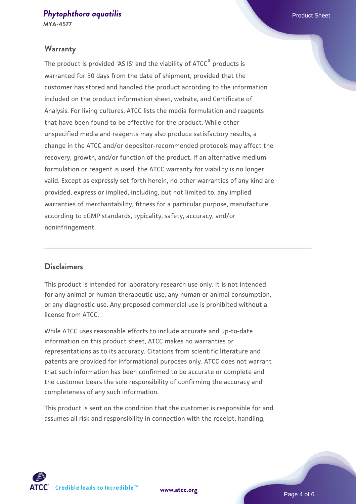#### **[Phytophthora aquatilis](https://www.atcc.org/products/mya-4577) Phytophthora aquatilis Phytophthora aquatilis MYA-4577**

#### **Warranty**

The product is provided 'AS IS' and the viability of ATCC<sup>®</sup> products is warranted for 30 days from the date of shipment, provided that the customer has stored and handled the product according to the information included on the product information sheet, website, and Certificate of Analysis. For living cultures, ATCC lists the media formulation and reagents that have been found to be effective for the product. While other unspecified media and reagents may also produce satisfactory results, a change in the ATCC and/or depositor-recommended protocols may affect the recovery, growth, and/or function of the product. If an alternative medium formulation or reagent is used, the ATCC warranty for viability is no longer valid. Except as expressly set forth herein, no other warranties of any kind are provided, express or implied, including, but not limited to, any implied warranties of merchantability, fitness for a particular purpose, manufacture according to cGMP standards, typicality, safety, accuracy, and/or noninfringement.

#### **Disclaimers**

This product is intended for laboratory research use only. It is not intended for any animal or human therapeutic use, any human or animal consumption, or any diagnostic use. Any proposed commercial use is prohibited without a license from ATCC.

While ATCC uses reasonable efforts to include accurate and up-to-date information on this product sheet, ATCC makes no warranties or representations as to its accuracy. Citations from scientific literature and patents are provided for informational purposes only. ATCC does not warrant that such information has been confirmed to be accurate or complete and the customer bears the sole responsibility of confirming the accuracy and completeness of any such information.

This product is sent on the condition that the customer is responsible for and assumes all risk and responsibility in connection with the receipt, handling,



**[www.atcc.org](http://www.atcc.org)**

Page 4 of 6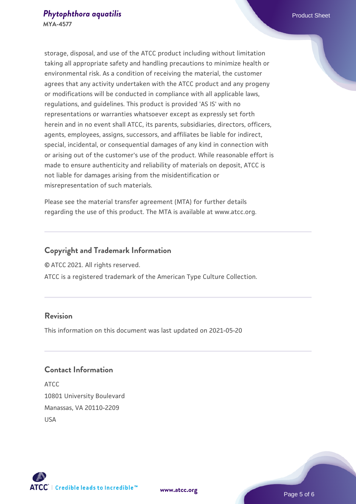storage, disposal, and use of the ATCC product including without limitation taking all appropriate safety and handling precautions to minimize health or environmental risk. As a condition of receiving the material, the customer agrees that any activity undertaken with the ATCC product and any progeny or modifications will be conducted in compliance with all applicable laws, regulations, and guidelines. This product is provided 'AS IS' with no representations or warranties whatsoever except as expressly set forth herein and in no event shall ATCC, its parents, subsidiaries, directors, officers, agents, employees, assigns, successors, and affiliates be liable for indirect, special, incidental, or consequential damages of any kind in connection with or arising out of the customer's use of the product. While reasonable effort is made to ensure authenticity and reliability of materials on deposit, ATCC is not liable for damages arising from the misidentification or misrepresentation of such materials.

Please see the material transfer agreement (MTA) for further details regarding the use of this product. The MTA is available at www.atcc.org.

# **Copyright and Trademark Information**

© ATCC 2021. All rights reserved.

ATCC is a registered trademark of the American Type Culture Collection.

#### **Revision**

This information on this document was last updated on 2021-05-20

# **Contact Information**

ATCC 10801 University Boulevard Manassas, VA 20110-2209 USA